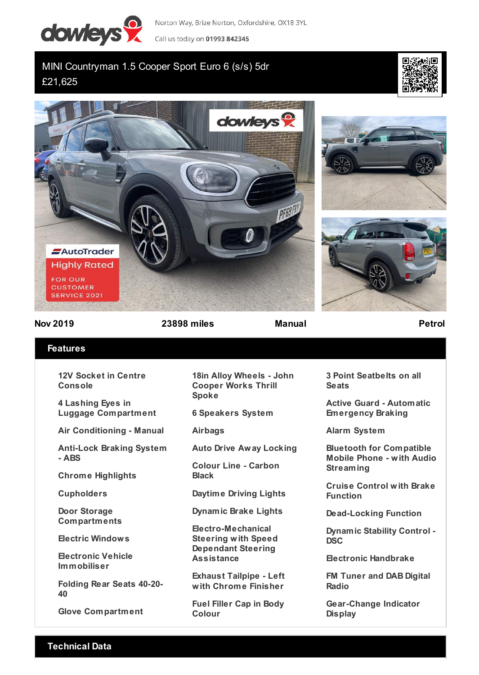

Norton Way, Brize Norton, Oxfordshire, OX18 3YL

Call us today on 01993 842345

## MINI Countryman 1.5 Cooper Sport Euro 6 (s/s) 5dr £21,625









**Nov 2019 23898 miles Manual Petrol**

## **Features**

**12V Socket in Centre Console**

**4 Lashing Eyes in Luggage Compartment**

**Air Conditioning - Manual**

**Anti-Lock Braking System - ABS**

**Chrome Highlights**

**Cupholders**

**Door Storage Compartments**

**Electric Windows**

**Electronic Vehicle Immobiliser**

**Folding Rear Seats 40-20- 40**

**Glove Compartment**

**18in Alloy Wheels - John Cooper Works Thrill Spoke**

**6 Speakers System**

**Airbags**

**Auto Drive Away Locking**

**Colour Line - Carbon Black**

**Daytime Driving Lights**

**Dynamic Brake Lights**

**Electro-Mechanical Steering with Speed Dependant Steering Assistance**

**Exhaust Tailpipe - Left with Chrome Finisher**

**Fuel Filler Cap in Body Colour**

**3 Point Seatbelts on all Seats**

**Active Guard - Automatic Emergency Braking**

**Alarm System**

**Bluetooth for Compatible Mobile Phone - with Audio Streaming**

**Cruise Control with Brake Function**

**Dead-Locking Function**

**Dynamic Stability Control - DSC**

**Electronic Handbrake**

**FM Tuner and DAB Digital Radio**

**Gear-Change Indicator Display**